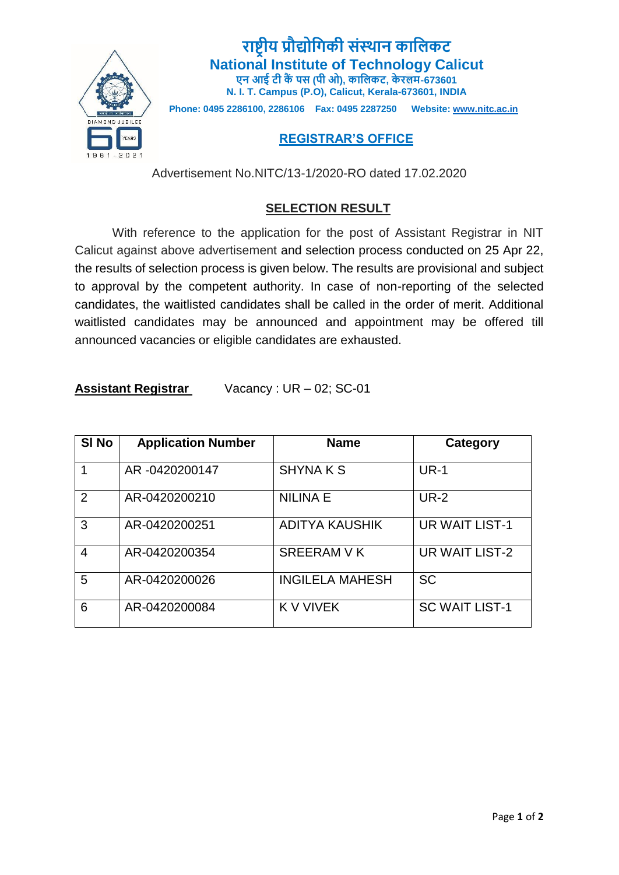

**राष्ट्रीय प्रौद्योगिकी संस्थान कागिकट National Institute of Technology Calicut एन आई टी कैंपस (पी ओ), कागिकट, के रिम-673601 N. I. T. Campus (P.O), Calicut, Kerala-673601, INDIA**

**Phone: 0495 2286100, 2286106 Fax: 0495 2287250 Website: [www.nitc.ac.in](http://www.nitc.ac.in/)**

## **REGISTRAR'S OFFICE**

Advertisement No.NITC/13-1/2020-RO dated 17.02.2020

## **SELECTION RESULT**

With reference to the application for the post of Assistant Registrar in NIT Calicut against above advertisement and selection process conducted on 25 Apr 22, the results of selection process is given below. The results are provisional and subject to approval by the competent authority. In case of non-reporting of the selected candidates, the waitlisted candidates shall be called in the order of merit. Additional waitlisted candidates may be announced and appointment may be offered till announced vacancies or eligible candidates are exhausted.

| <b>Assistant Registrar</b> | Vacancy: $UR - 02$ ; SC-01 |
|----------------------------|----------------------------|
|----------------------------|----------------------------|

| SI No | <b>Application Number</b> | <b>Name</b>            | Category              |
|-------|---------------------------|------------------------|-----------------------|
| 1     | AR-0420200147             | <b>SHYNAKS</b>         | <b>UR-1</b>           |
| 2     | AR-0420200210             | <b>NILINA E</b>        | <b>UR-2</b>           |
| 3     | AR-0420200251             | <b>ADITYA KAUSHIK</b>  | <b>UR WAIT LIST-1</b> |
| 4     | AR-0420200354             | <b>SREERAM V K</b>     | UR WAIT LIST-2        |
| 5     | AR-0420200026             | <b>INGILELA MAHESH</b> | <b>SC</b>             |
| 6     | AR-0420200084             | <b>K V VIVEK</b>       | <b>SC WAIT LIST-1</b> |